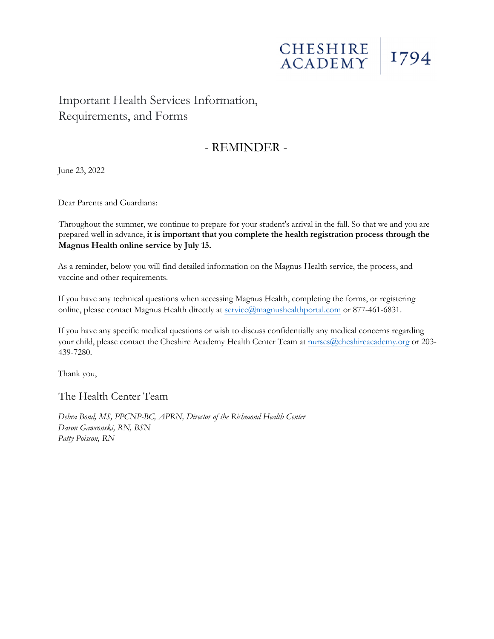# CHESHIRE 1794

## Important Health Services Information, Requirements, and Forms

### - REMINDER -

June 23, 2022

Dear Parents and Guardians:

Throughout the summer, we continue to prepare for your student's arrival in the fall. So that we and you are prepared well in advance, **it is important that you complete the health registration process through the Magnus Health online service by July 15.** 

As a reminder, below you will find detailed information on the Magnus Health service, the process, and vaccine and other requirements.

If you have any technical questions when accessing Magnus Health, completing the forms, or registering online, please contact Magnus Health directly at service@magnushealthportal.com or 877-461-6831.

If you have any specific medical questions or wish to discuss confidentially any medical concerns regarding your child, please contact the Cheshire Academy Health Center Team at nurses@cheshireacademy.org or 203-439-7280.

Thank you,

The Health Center Team

*Debra Bond, MS, PPCNP-BC, APRN, Director of the Richmond Health Center Daron Gawronski, RN, BSN Patty Poisson, RN*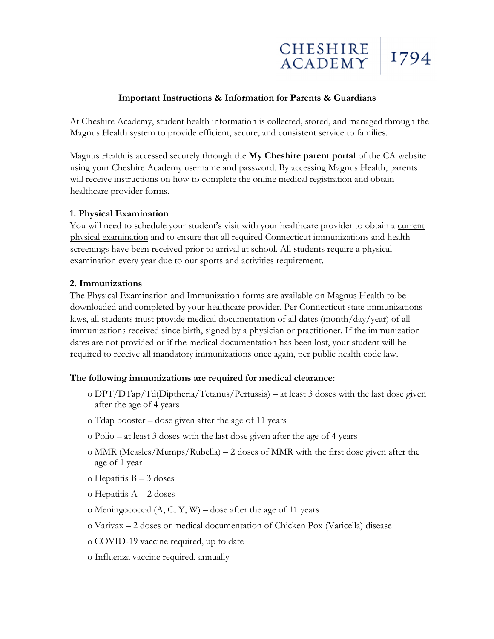

#### **Important Instructions & Information for Parents & Guardians**

At Cheshire Academy, student health information is collected, stored, and managed through the Magnus Health system to provide efficient, secure, and consistent service to families.

Magnus Health is accessed securely through the **My Cheshire parent portal** of the CA website using your Cheshire Academy username and password. By accessing Magnus Health, parents will receive instructions on how to complete the online medical registration and obtain healthcare provider forms.

#### **1. Physical Examination**

You will need to schedule your student's visit with your healthcare provider to obtain a current physical examination and to ensure that all required Connecticut immunizations and health screenings have been received prior to arrival at school. All students require a physical examination every year due to our sports and activities requirement.

#### **2. Immunizations**

The Physical Examination and Immunization forms are available on Magnus Health to be downloaded and completed by your healthcare provider. Per Connecticut state immunizations laws, all students must provide medical documentation of all dates (month/day/year) of all immunizations received since birth, signed by a physician or practitioner. If the immunization dates are not provided or if the medical documentation has been lost, your student will be required to receive all mandatory immunizations once again, per public health code law.

#### **The following immunizations are required for medical clearance:**

- o DPT/DTap/Td(Diptheria/Tetanus/Pertussis) at least 3 doses with the last dose given after the age of 4 years
- o Tdap booster dose given after the age of 11 years
- o Polio at least 3 doses with the last dose given after the age of 4 years
- o MMR (Measles/Mumps/Rubella) 2 doses of MMR with the first dose given after the age of 1 year
- o Hepatitis B 3 doses
- o Hepatitis A 2 doses
- o Meningococcal  $(A, C, Y, W)$  dose after the age of 11 years
- o Varivax 2 doses or medical documentation of Chicken Pox (Varicella) disease
- o COVID-19 vaccine required, up to date
- o Influenza vaccine required, annually